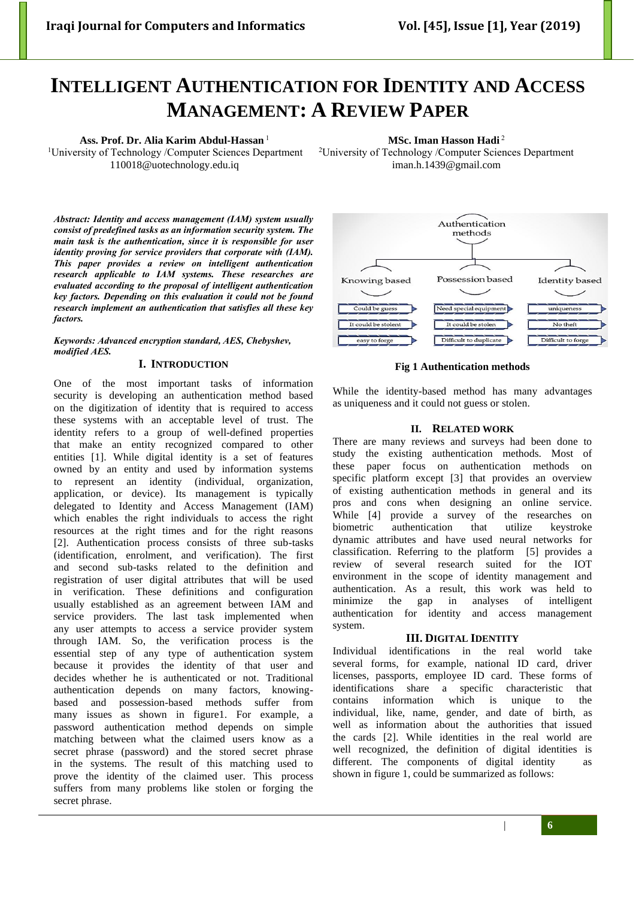# **INTELLIGENT AUTHENTICATION FOR IDENTITY AND ACCESS MANAGEMENT: A REVIEW PAPER**

## **Ass. Prof. Dr. Alia Karim Abdul-Hassan** <sup>1</sup>

<sup>1</sup>University of Technology /Computer Sciences Department [110018@uotechnology.edu.iq](mailto:110018@uotechnology.edu.iq)

**MSc. Iman Hasson Hadi** <sup>2</sup>

<sup>2</sup>University of Technology /Computer Sciences Department iman.h.1439@gmail.com

*Abstract: Identity and access management (IAM) system usually consist of predefined tasks as an information security system. The main task is the authentication, since it is responsible for user identity proving for service providers that corporate with (IAM). This paper provides a review on intelligent authentication research applicable to IAM systems. These researches are evaluated according to the proposal of intelligent authentication key factors. Depending on this evaluation it could not be found research implement an authentication that satisfies all these key factors.*

*Keywords: Advanced encryption standard, AES, Chebyshev, modified AES.*

#### **I. INTRODUCTION**

One of the most important tasks of information security is developing an authentication method based on the digitization of identity that is required to access these systems with an acceptable level of trust. The identity refers to a group of well-defined properties that make an entity recognized compared to other entities [1]. While digital identity is a set of features owned by an entity and used by information systems to represent an identity (individual, organization, application, or device). Its management is typically delegated to Identity and Access Management (IAM) which enables the right individuals to access the right resources at the right times and for the right reasons [2]. Authentication process consists of three sub-tasks (identification, enrolment, and verification). The first and second sub-tasks related to the definition and registration of user digital attributes that will be used in verification. These definitions and configuration usually established as an agreement between IAM and service providers. The last task implemented when any user attempts to access a service provider system through IAM. So, the verification process is the essential step of any type of authentication system because it provides the identity of that user and decides whether he is authenticated or not. Traditional authentication depends on many factors, knowingbased and possession-based methods suffer from many issues as shown in figure1. For example, a password authentication method depends on simple matching between what the claimed users know as a secret phrase (password) and the stored secret phrase in the systems. The result of this matching used to prove the identity of the claimed user. This process suffers from many problems like stolen or forging the secret phrase.



## **Fig 1 Authentication methods**

While the identity-based method has many advantages as uniqueness and it could not guess or stolen.

## **II. RELATED WORK**

There are many reviews and surveys had been done to study the existing authentication methods. Most of these paper focus on authentication methods on specific platform except [3] that provides an overview of existing authentication methods in general and its pros and cons when designing an online service. While [4] provide a survey of the researches on biometric authentication that utilize keystroke dynamic attributes and have used neural networks for classification. Referring to the platform [5] provides a review of several research suited for the IOT environment in the scope of identity management and authentication. As a result, this work was held to minimize the gap in analyses of intelligent authentication for identity and access management system.

## **III. DIGITAL IDENTITY**

Individual identifications in the real world take several forms, for example, national ID card, driver licenses, passports, employee ID card. These forms of identifications share a specific characteristic that contains information which is unique to the individual, like, name, gender, and date of birth, as well as information about the authorities that issued the cards [2]. While identities in the real world are well recognized, the definition of digital identities is different. The components of digital identity as shown in figure 1, could be summarized as follows:

| **6**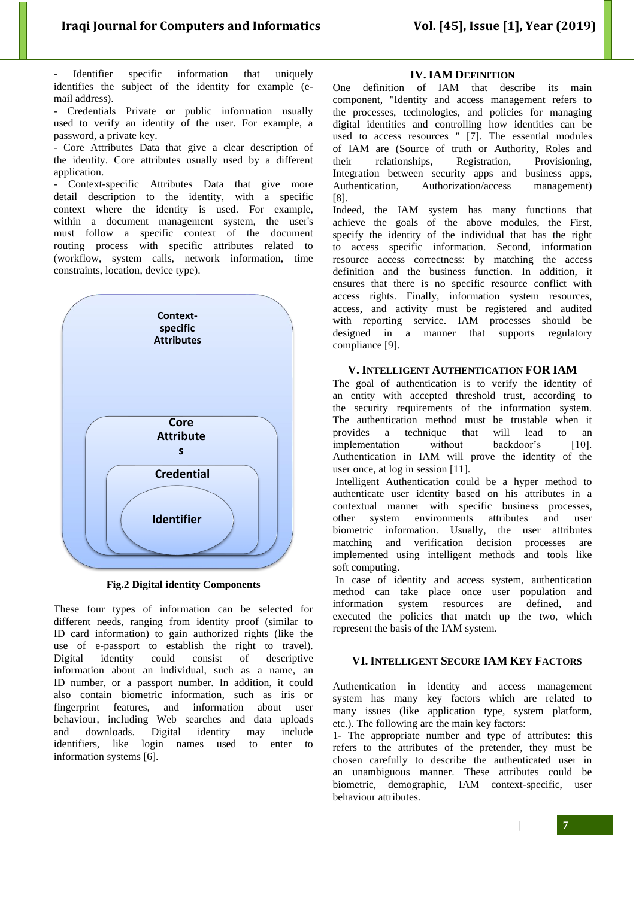Identifier specific information that uniquely identifies the subject of the identity for example (email address).

- Credentials Private or public information usually used to verify an identity of the user. For example, a password, a private key.

- Core Attributes Data that give a clear description of the identity. Core attributes usually used by a different application.

Context-specific Attributes Data that give more detail description to the identity, with a specific context where the identity is used. For example, within a document management system, the user's must follow a specific context of the document routing process with specific attributes related to (workflow, system calls, network information, time constraints, location, device type).



**Fig.2 Digital identity Components**

These four types of information can be selected for different needs, ranging from identity proof (similar to ID card information) to gain authorized rights (like the use of e-passport to establish the right to travel). Digital identity could consist of descriptive information about an individual, such as a name, an ID number, or a passport number. In addition, it could also contain biometric information, such as iris or fingerprint features, and information about user behaviour, including Web searches and data uploads and downloads. Digital identity may include identifiers, like login names used to enter to information systems [6].

## **IV. IAM DEFINITION**

One definition of IAM that describe its main component, "Identity and access management refers to the processes, technologies, and policies for managing digital identities and controlling how identities can be used to access resources " [7]. The essential modules of IAM are (Source of truth or Authority, Roles and their relationships, Registration, Provisioning, Integration between security apps and business apps, Authentication, Authorization/access management) [8].

Indeed, the IAM system has many functions that achieve the goals of the above modules, the First, specify the identity of the individual that has the right to access specific information. Second, information resource access correctness: by matching the access definition and the business function. In addition, it ensures that there is no specific resource conflict with access rights. Finally, information system resources, access, and activity must be registered and audited with reporting service. IAM processes should be designed in a manner that supports regulatory compliance [9].

## **V. INTELLIGENT AUTHENTICATION FOR IAM**

The goal of authentication is to verify the identity of an entity with accepted threshold trust, according to the security requirements of the information system. The authentication method must be trustable when it provides a technique that will lead to an implementation without backdoor's [10]. Authentication in IAM will prove the identity of the user once, at log in session [11].

Intelligent Authentication could be a hyper method to authenticate user identity based on his attributes in a contextual manner with specific business processes, other system environments attributes and user biometric information. Usually, the user attributes matching and verification decision processes are implemented using intelligent methods and tools like soft computing.

In case of identity and access system, authentication method can take place once user population and information system resources are defined, and executed the policies that match up the two, which represent the basis of the IAM system.

# **VI. INTELLIGENT SECURE IAM KEY FACTORS**

Authentication in identity and access management system has many key factors which are related to many issues (like application type, system platform, etc.). The following are the main key factors:

1- The appropriate number and type of attributes: this refers to the attributes of the pretender, they must be chosen carefully to describe the authenticated user in an unambiguous manner. These attributes could be biometric, demographic, IAM context-specific, user behaviour attributes.

 $\|$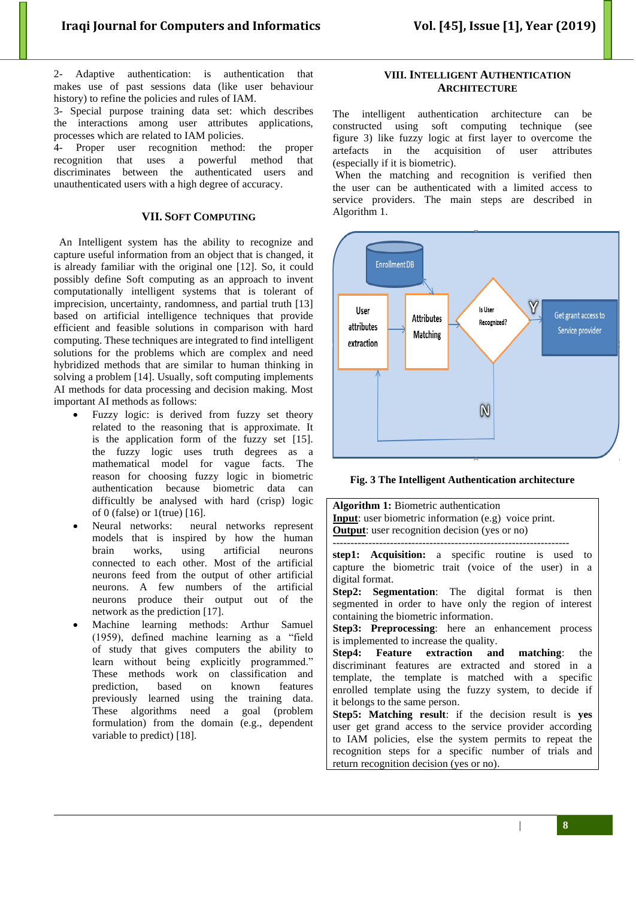2- Adaptive authentication: is authentication that makes use of past sessions data (like user behaviour history) to refine the policies and rules of IAM.

3- Special purpose training data set: which describes the interactions among user attributes applications, processes which are related to IAM policies.

4- Proper user recognition method: the proper recognition that uses a powerful method that discriminates between the authenticated users and unauthenticated users with a high degree of accuracy.

## **VII. SOFT COMPUTING**

 An Intelligent system has the ability to recognize and capture useful information from an object that is changed, it is already familiar with the original one [12]. So, it could possibly define Soft computing as an approach to invent computationally intelligent systems that is tolerant of imprecision, uncertainty, randomness, and partial truth [13] based on artificial intelligence techniques that provide efficient and feasible solutions in comparison with hard computing. These techniques are integrated to find intelligent solutions for the problems which are complex and need hybridized methods that are similar to human thinking in solving a problem [14]. Usually, soft computing implements AI methods for data processing and decision making. Most important AI methods as follows:

- Fuzzy logic: is derived from fuzzy set theory related to the reasoning that is approximate. It is the application form of the fuzzy set [15]. the fuzzy logic uses truth degrees as a mathematical model for vague facts. The reason for choosing fuzzy logic in biometric authentication because biometric data can difficultly be analysed with hard (crisp) logic of 0 (false) or 1(true) [16].
- Neural networks: neural networks represent models that is inspired by how the human brain works, using artificial neurons connected to each other. Most of the artificial neurons feed from the output of other artificial neurons. A few numbers of the artificial neurons produce their output out of the network as the prediction [17].
- Machine learning methods: Arthur Samuel (1959), defined machine learning as a "field of study that gives computers the ability to learn without being explicitly programmed." These methods work on classification and prediction, based on known features previously learned using the training data. These algorithms need a goal (problem formulation) from the domain (e.g., dependent variable to predict) [18].

## **VIII. INTELLIGENT AUTHENTICATION ARCHITECTURE**

The intelligent authentication architecture can be constructed using soft computing technique (see figure 3) like fuzzy logic at first layer to overcome the artefacts in the acquisition of user attributes (especially if it is biometric).

When the matching and recognition is verified then the user can be authenticated with a limited access to service providers. The main steps are described in Algorithm 1.



**Fig. 3 The Intelligent Authentication architecture**

**Algorithm 1:** Biometric authentication **Input**: user biometric information (e.g) voice print. **Output**: user recognition decision (yes or no) ----------------------------------------------------------------- **step1: Acquisition:** a specific routine is used to capture the biometric trait (voice of the user) in a digital format. **Step2: Segmentation**: The digital format is then segmented in order to have only the region of interest containing the biometric information. **Step3: Preprocessing**: here an enhancement process is implemented to increase the quality. **Step4: Feature extraction and matching**: the discriminant features are extracted and stored in a template, the template is matched with a specific enrolled template using the fuzzy system, to decide if it belongs to the same person. **Step5: Matching result**: if the decision result is **yes** user get grand access to the service provider according to IAM policies, else the system permits to repeat the recognition steps for a specific number of trials and return recognition decision (yes or no).

| **8**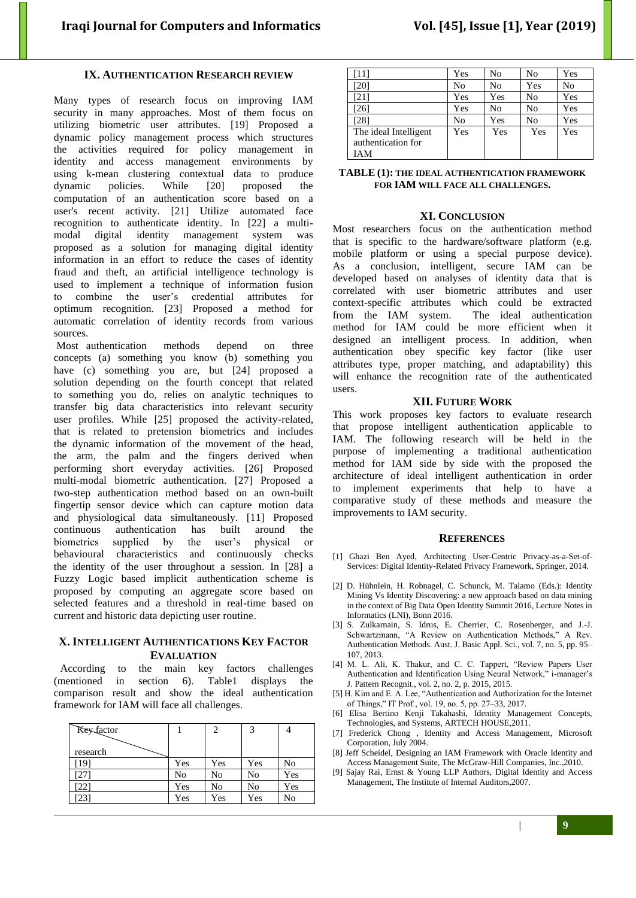## **IX. AUTHENTICATION RESEARCH REVIEW**

Many types of research focus on improving IAM security in many approaches. Most of them focus on utilizing biometric user attributes. [19] Proposed a dynamic policy management process which structures the activities required for policy management in identity and access management environments by using k-mean clustering contextual data to produce dynamic policies. While [20] proposed the computation of an authentication score based on a user's recent activity. [21] Utilize automated face recognition to authenticate identity. In [22] a multimodal digital identity management system was proposed as a solution for managing digital identity information in an effort to reduce the cases of identity fraud and theft, an artificial intelligence technology is used to implement a technique of information fusion combine the user's credential attributes for optimum recognition. [23] Proposed a method for automatic correlation of identity records from various sources.

Most authentication methods depend on three concepts (a) something you know (b) something you have (c) something you are, but [24] proposed a solution depending on the fourth concept that related to something you do, relies on analytic techniques to transfer big data characteristics into relevant security user profiles. While [25] proposed the activity-related, that is related to pretension biometrics and includes the dynamic information of the movement of the head, the arm, the palm and the fingers derived when performing short everyday activities. [26] Proposed multi-modal biometric authentication. [27] Proposed a two-step authentication method based on an own-built fingertip sensor device which can capture motion data and physiological data simultaneously. [11] Proposed continuous authentication has built around the biometrics supplied by the user's physical or behavioural characteristics and continuously checks the identity of the user throughout a session. In [28] a Fuzzy Logic based implicit authentication scheme is proposed by computing an aggregate score based on selected features and a threshold in real-time based on current and historic data depicting user routine.

#### **X. INTELLIGENT AUTHENTICATIONS KEY FACTOR EVALUATION**

 According to the main key factors challenges (mentioned in section 6). Table1 displays the comparison result and show the ideal authentication framework for IAM will face all challenges.

| Key factor      |     | 2              | 3   |     |
|-----------------|-----|----------------|-----|-----|
|                 |     |                |     |     |
| research        |     |                |     |     |
| $19_1$          | Yes | Yes            | Yes | No  |
| 27              | No  | N <sub>0</sub> | No  | Yes |
| 22 <sub>1</sub> | Yes | No             | No  | Yes |
| $23_1$          | Yes | Yes            | Yes | No  |

| '111                                               | Yes | N <sub>0</sub> | No  | Yes |
|----------------------------------------------------|-----|----------------|-----|-----|
| [20]                                               | No  | No             | Yes | No  |
| [21]                                               | Yes | Yes            | No  | Yes |
| [26]                                               | Yes | No             | No  | Yes |
| [28]                                               | No  | Yes            | No  | Yes |
| The ideal Intelligent<br>authentication for<br>IAM | Yes | Yes            | Yes | Yes |

**TABLE (1): THE IDEAL AUTHENTICATION FRAMEWORK FOR IAM WILL FACE ALL CHALLENGES.**

#### **XI. CONCLUSION**

Most researchers focus on the authentication method that is specific to the hardware/software platform (e.g. mobile platform or using a special purpose device). As a conclusion, intelligent, secure IAM can be developed based on analyses of identity data that is correlated with user biometric attributes and user context-specific attributes which could be extracted from the IAM system. The ideal authentication method for IAM could be more efficient when it designed an intelligent process. In addition, when authentication obey specific key factor (like user attributes type, proper matching, and adaptability) this will enhance the recognition rate of the authenticated users.

#### **XII. FUTURE WORK**

This work proposes key factors to evaluate research that propose intelligent authentication applicable to IAM. The following research will be held in the purpose of implementing a traditional authentication method for IAM side by side with the proposed the architecture of ideal intelligent authentication in order to implement experiments that help to have a comparative study of these methods and measure the improvements to IAM security.

#### **REFERENCES**

- [1] [Ghazi Ben Ayed,](https://www.google.iq/search?tbo=p&tbm=bks&q=inauthor:%22Ghazi+Ben+Ayed%22) Architecting User-Centric Privacy-as-a-Set-of-Services: Digital Identity-Related Privacy Framework, Springer, 2014.
- [2] D. Hühnlein, H. Robnagel, C. Schunck, M. Talamo (Eds.): Identity Mining Vs Identity Discovering: a new approach based on data mining in the context of Big Data Open Identity Summit 2016, Lecture Notes in Informatics (LNI), Bonn 2016.
- [3] S. Zulkarnain, S. Idrus, E. Cherrier, C. Rosenberger, and J.-J. Schwartzmann, "A Review on Authentication Methods," A Rev. Authentication Methods. Aust. J. Basic Appl. Sci., vol. 7, no. 5, pp. 95– 107, 2013.
- [4] M. L. Ali, K. Thakur, and C. C. Tappert, "Review Papers User Authentication and Identification Using Neural Network," i-manager's J. Pattern Recognit., vol. 2, no. 2, p. 2015, 2015.
- [5] H. Kim and E. A. Lee, "Authentication and Authorization for the Internet of Things," IT Prof., vol. 19, no. 5, pp. 27–33, 2017.
- [6] Elisa Bertino Kenji Takahashi, Identity Management Concepts, Technologies, and Systems, ARTECH HOUSE,2011.
- [7] Frederick Chong , Identity and Access Management, Microsoft Corporation, July 2004.
- [8] Jeff Scheidel, Designing an IAM Framework with Oracle Identity and Access Management Suite, The McGraw-Hill Companies, Inc.,2010.
- [9] Sajay Rai, Ernst & Young LLP Authors, Digital Identity and Access Management, The Institute of Internal Auditors,2007.

| **9**